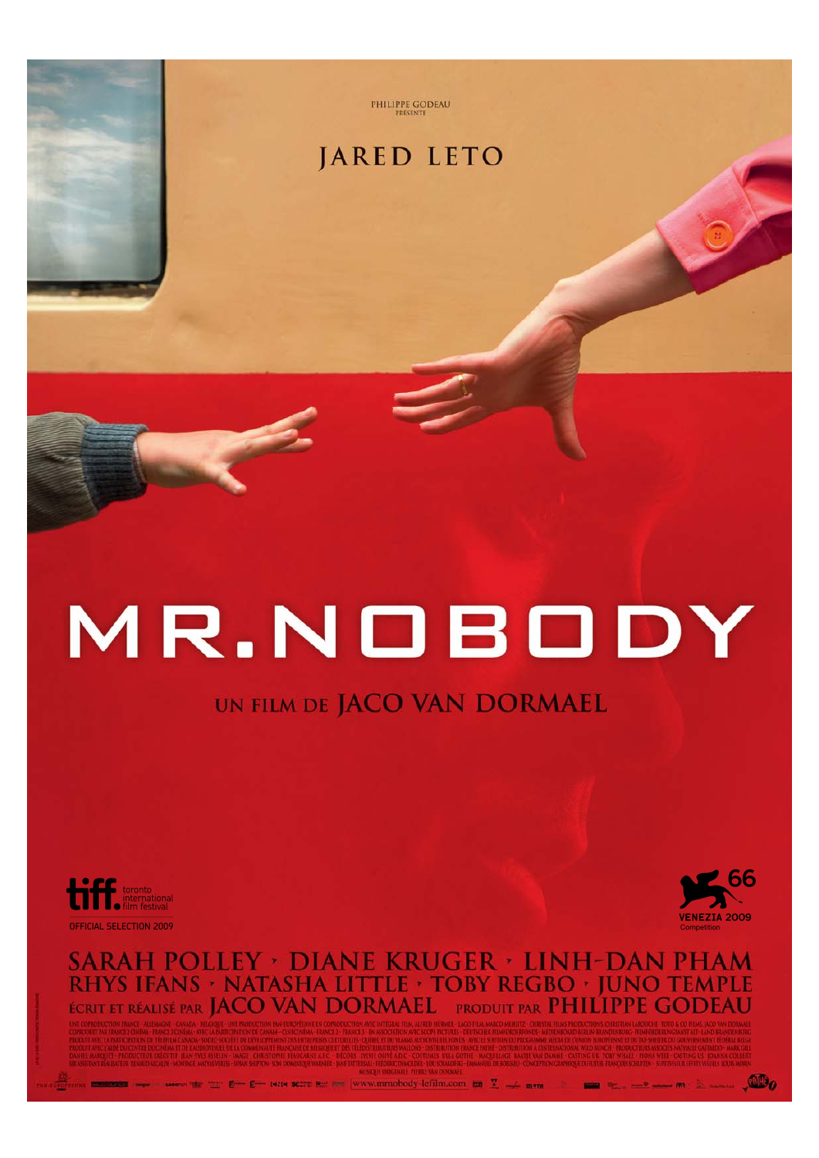

PHILIPPE GODEAU

# **JARED LETO**

# MR.NOBODY

# UN FILM DE JACO VAN DORMAEL





# **SARAH POLLEY > DIANE KRUGER > LINH-DAN PHAM RHYS IFANS • NATASHA LITTLE • TOBY REGBO • JUNO TEMPLE ÉCRIT ET RÉALISÉ PAR JACO VAN DORMAEL PRODUIT PAR PHILIPPE GODEAU**

www.mrnobody-lefilm.com En X - mem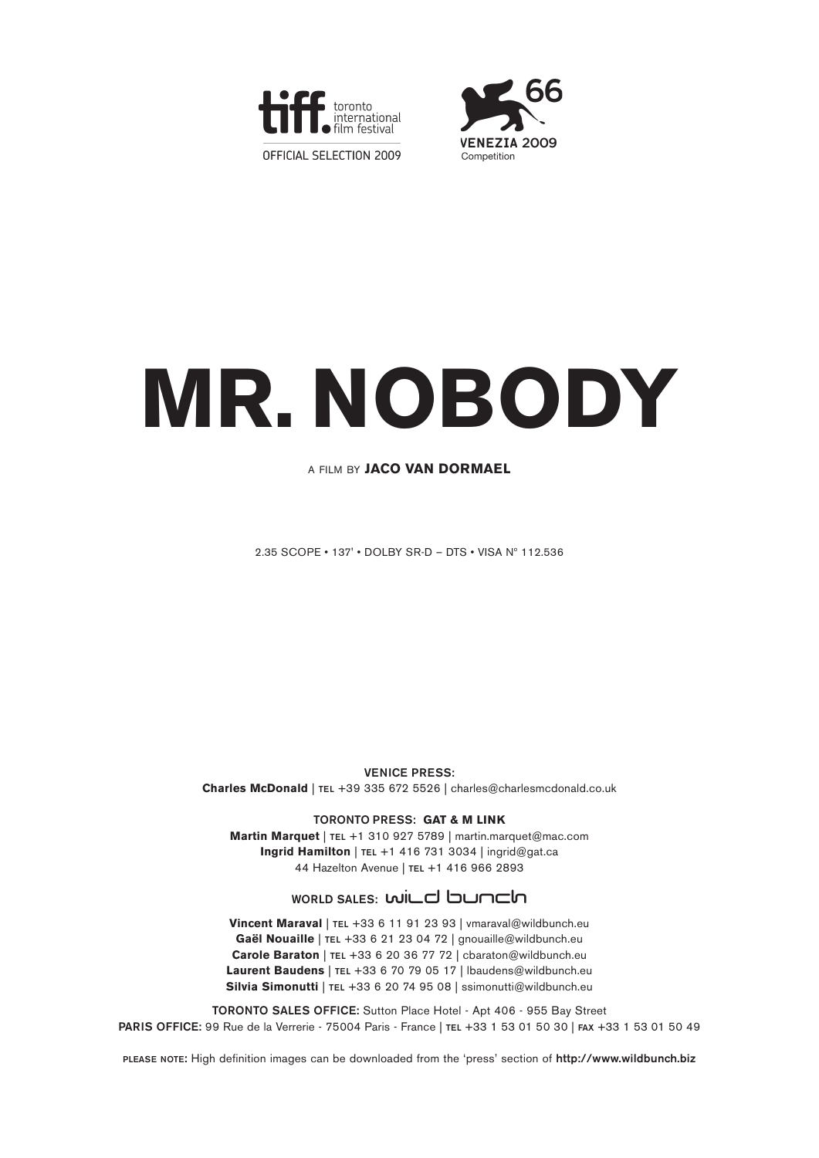



# **MR. NOBODY**

A FILM BY **JACO VAN DORMAEL**

2.35 SCOPE • 137' • DOLBY SR-D – DTS • VISA Nº 112.536

**VENICE PRESS: Charles McDonald** | **TEL** +39 335 672 5526 | charles@charlesmcdonald.co.uk

**TORONTO PRESS: GAT & M LINK Martin Marquet** | **TEL** +1 310 927 5789 | martin.marquet@mac.com **Ingrid Hamilton** | **TEL** +1 416 731 3034 | ingrid@gat.ca 44 Hazelton Avenue | **TEL** +1 416 966 2893

# **WORLD SALES:** wild bunch

**Vincent Maraval** | **TEL** +33 6 11 91 23 93 | vmaraval@wildbunch.eu **Gaël Nouaille** | **TEL** +33 6 21 23 04 72 | gnouaille@wildbunch.eu **Carole Baraton** | **TEL** +33 6 20 36 77 72 | cbaraton@wildbunch.eu **Laurent Baudens** | **TEL** +33 6 70 79 05 17 | lbaudens@wildbunch.eu **Silvia Simonutti** | **TEL** +33 6 20 74 95 08 | ssimonutti@wildbunch.eu

**TORONTO SALES OFFICE:** Sutton Place Hotel - Apt 406 - 955 Bay Street **PARIS OFFICE:** 99 Rue de la Verrerie - 75004 Paris - France | **TEL** +33 1 53 01 50 30 | **FAX** +33 1 53 01 50 49

**PLEASE NOTE:** High definition images can be downloaded from the 'press' section of **http://www.wildbunch.biz**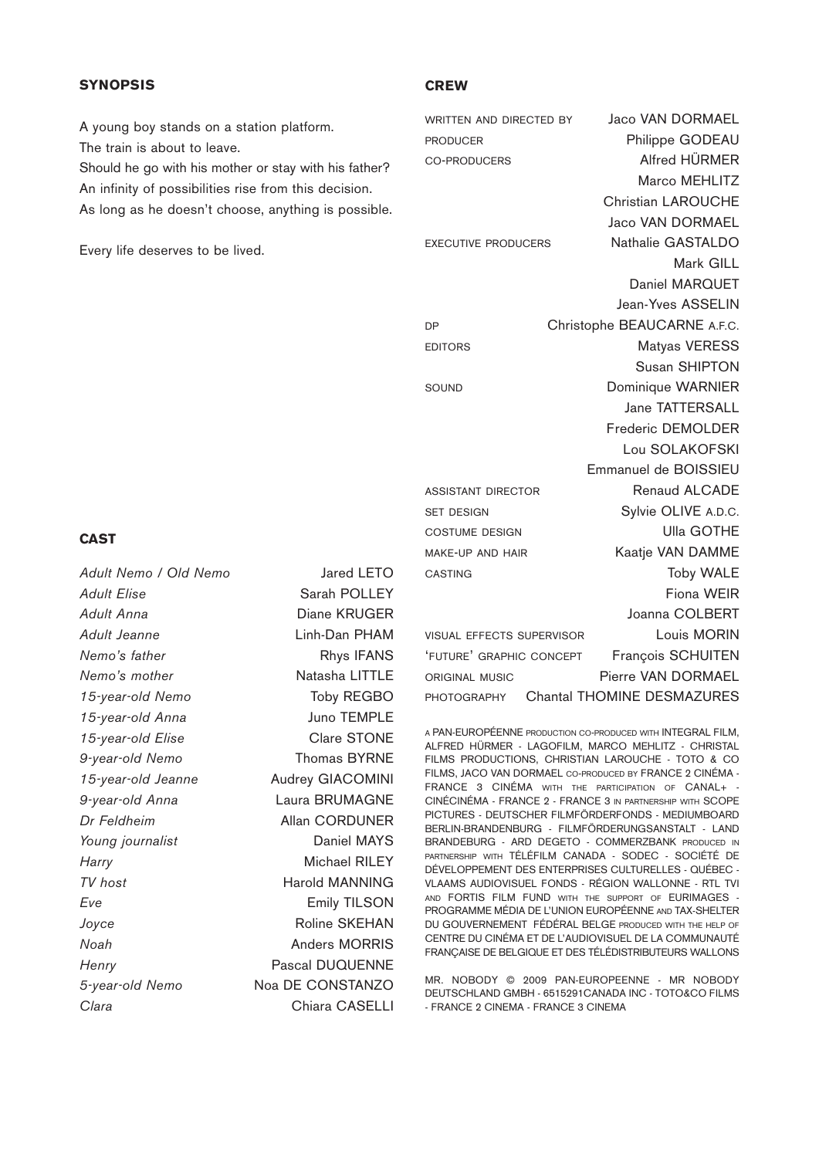# **SYNOPSIS**

A young boy stands on a station platform. The train is about to leave. Should he go with his mother or stay with his father? An infinity of possibilities rise from this decision. As long as he doesn't choose, anything is possible.

Every life deserves to be lived.

# **CAST**

*Adult Nemo / Old Nemo* Jared LETO **Adult Elise** Sarah POLLEY *Adult Anna* Diane KRUGER *Adult Jeanne* Linh-Dan PHAM *Nemo's father* Rhys IFANS *Nemo's mother* Natasha LITTLE *15-year-old Nemo* Toby REGBO *15-year-old Anna* Juno TEMPLE *15-year-old Elise* Clare STONE *9-year-old Nemo* Thomas BYRNE *15-year-old Jeanne* Audrey GIACOMINI *9-year-old Anna* Laura BRUMAGNE *Dr Feldheim* Allan CORDUNER *Young journalist* Daniel MAYS *Harry* Michael RILEY *TV host* Harold MANNING *Eve* Emily TILSON *Joyce* Roline SKEHAN **Noah** Anders MORRIS *Henry* Pascal DUQUENNE *5-year-old Nemo* Noa DE CONSTANZO *Clara* Chiara CASELLI

#### **CREW**

| WRITTEN AND DIRECTED BY          | Jaco VAN DORMAEL                       |
|----------------------------------|----------------------------------------|
| <b>PRODUCER</b>                  | Philippe GODEAU                        |
| <b>CO-PRODUCERS</b>              | Alfred HÜRMER                          |
|                                  | Marco MEHLITZ                          |
|                                  | <b>Christian LAROUCHE</b>              |
|                                  | Jaco VAN DORMAEL                       |
| <b>EXECUTIVE PRODUCERS</b>       | Nathalie GASTALDO                      |
|                                  | Mark GILL                              |
|                                  | Daniel MARQUET                         |
|                                  | Jean-Yves ASSELIN                      |
| DP                               | Christophe BEAUCARNE A.F.C.            |
| <b>EDITORS</b>                   | Matyas VERESS                          |
|                                  | <b>Susan SHIPTON</b>                   |
| SOUND                            | Dominique WARNIER                      |
|                                  | <b>Jane TATTERSALL</b>                 |
|                                  | <b>Frederic DEMOLDER</b>               |
|                                  | Lou SOLAKOFSKI                         |
|                                  | <b>Emmanuel de BOISSIEU</b>            |
| <b>ASSISTANT DIRECTOR</b>        | <b>Renaud ALCADE</b>                   |
| <b>SET DESIGN</b>                | Sylvie OLIVE A.D.C.                    |
| <b>COSTUME DESIGN</b>            | <b>Ulla GOTHE</b>                      |
| MAKE-UP AND HAIR                 | Kaatje VAN DAMME                       |
| <b>CASTING</b>                   | <b>Toby WALE</b>                       |
|                                  | Fiona WEIR                             |
|                                  | Joanna COLBERT                         |
| <b>VISUAL EFFECTS SUPERVISOR</b> | Louis MORIN                            |
| 'FUTURE' GRAPHIC CONCEPT         | François SCHUITEN                      |
| <b>ORIGINAL MUSIC</b>            | Pierre VAN DORMAEL                     |
|                                  | PHOTOGRAPHY Chantal THOMINE DESMAZURES |

A PAN-EUROPÉENNE PRODUCTION CO-PRODUCED WITH INTEGRAL FILM, ALFRED HÜRMER - LAGOFILM, MARCO MEHLITZ - CHRISTAL FILMS PRODUCTIONS, CHRISTIAN LAROUCHE - TOTO & CO FILMS, JACO VAN DORMAEL CO-PRODUCED BY FRANCE 2 CINÉMA - FRANCE 3 CINÉMA WITH THE PARTICIPATION OF CANAL+ CINÉCINÉMA - FRANCE 2 - FRANCE 3 IN PARTNERSHIP WITH SCOPE PICTURES - DEUTSCHER FILMFÖRDERFONDS - MEDIUMBOARD BERLIN-BRANDENBURG - FILMFÖRDERUNGSANSTALT - LAND BRANDEBURG - ARD DEGETO - COMMERZBANK PRODUCED IN PARTNERSHIP WITH TÉLÉFILM CANADA - SODEC - SOCIÉTÉ DE DÉVELOPPEMENT DES ENTERPRISES CULTURELLES - QUÉBEC - VLAAMS AUDIOVISUEL FONDS - RÉGION WALLONNE - RTL TVI AND FORTIS FILM FUND WITH THE SUPPORT OF EURIMAGES - PROGRAMME MÉDIA DE L'UNION EUROPÉENNE AND TAX-SHELTER DU GOUVERNEMENT FÉDÉRAL BELGE PRODUCED WITH THE HELP OF CENTRE DU CINÉMA ET DE L'AUDIOVISUEL DE LA COMMUNAUTÉ FRANÇAISE DE BELGIQUE ET DES TÉLÉDISTRIBUTEURS WALLONS

MR. NOBODY © 2009 PAN-EUROPEENNE - MR NOBODY DEUTSCHLAND GMBH - 6515291CANADA INC - TOTO&CO FILMS - FRANCE 2 CINEMA - FRANCE 3 CINEMA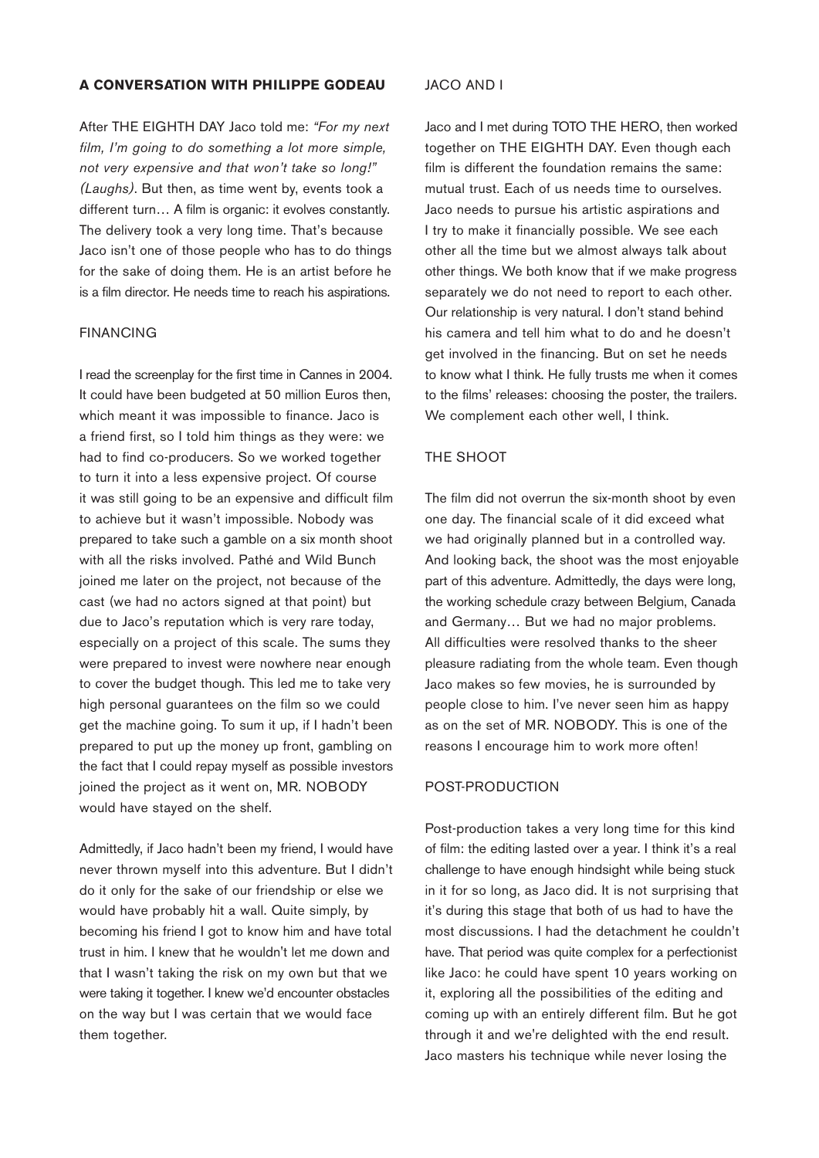# **A CONVERSATION WITH PHILIPPE GODEAU**

After THE EIGHTH DAY Jaco told me: *"For my next film, I'm going to do something a lot more simple, not very expensive and that won't take so long!" (Laughs)*. But then, as time went by, events took a different turn… A film is organic: it evolves constantly. The delivery took a very long time. That's because Jaco isn't one of those people who has to do things for the sake of doing them. He is an artist before he is a film director. He needs time to reach his aspirations.

#### FINANCING

I read the screenplay for the first time in Cannes in 2004. It could have been budgeted at 50 million Euros then, which meant it was impossible to finance. Jaco is a friend first, so I told him things as they were: we had to find co-producers. So we worked together to turn it into a less expensive project. Of course it was still going to be an expensive and difficult film to achieve but it wasn't impossible. Nobody was prepared to take such a gamble on a six month shoot with all the risks involved. Pathé and Wild Bunch joined me later on the project, not because of the cast (we had no actors signed at that point) but due to Jaco's reputation which is very rare today, especially on a project of this scale. The sums they were prepared to invest were nowhere near enough to cover the budget though. This led me to take very high personal guarantees on the film so we could get the machine going. To sum it up, if I hadn't been prepared to put up the money up front, gambling on the fact that I could repay myself as possible investors joined the project as it went on, MR. NOBODY would have stayed on the shelf.

Admittedly, if Jaco hadn't been my friend, I would have never thrown myself into this adventure. But I didn't do it only for the sake of our friendship or else we would have probably hit a wall. Quite simply, by becoming his friend I got to know him and have total trust in him. I knew that he wouldn't let me down and that I wasn't taking the risk on my own but that we were taking it together. I knew we'd encounter obstacles on the way but I was certain that we would face them together.

# JACO AND I

Jaco and I met during TOTO THE HERO, then worked together on THE EIGHTH DAY. Even though each film is different the foundation remains the same: mutual trust. Each of us needs time to ourselves. Jaco needs to pursue his artistic aspirations and I try to make it financially possible. We see each other all the time but we almost always talk about other things. We both know that if we make progress separately we do not need to report to each other. Our relationship is very natural. I don't stand behind his camera and tell him what to do and he doesn't get involved in the financing. But on set he needs to know what I think. He fully trusts me when it comes to the films' releases: choosing the poster, the trailers. We complement each other well, I think.

#### THE SHOOT

The film did not overrun the six-month shoot by even one day. The financial scale of it did exceed what we had originally planned but in a controlled way. And looking back, the shoot was the most enjoyable part of this adventure. Admittedly, the days were long, the working schedule crazy between Belgium, Canada and Germany… But we had no major problems. All difficulties were resolved thanks to the sheer pleasure radiating from the whole team. Even though Jaco makes so few movies, he is surrounded by people close to him. I've never seen him as happy as on the set of MR. NOBODY. This is one of the reasons I encourage him to work more often!

#### POST-PRODUCTION

Post-production takes a very long time for this kind of film: the editing lasted over a year. I think it's a real challenge to have enough hindsight while being stuck in it for so long, as Jaco did. It is not surprising that it's during this stage that both of us had to have the most discussions. I had the detachment he couldn't have. That period was quite complex for a perfectionist like Jaco: he could have spent 10 years working on it, exploring all the possibilities of the editing and coming up with an entirely different film. But he got through it and we're delighted with the end result. Jaco masters his technique while never losing the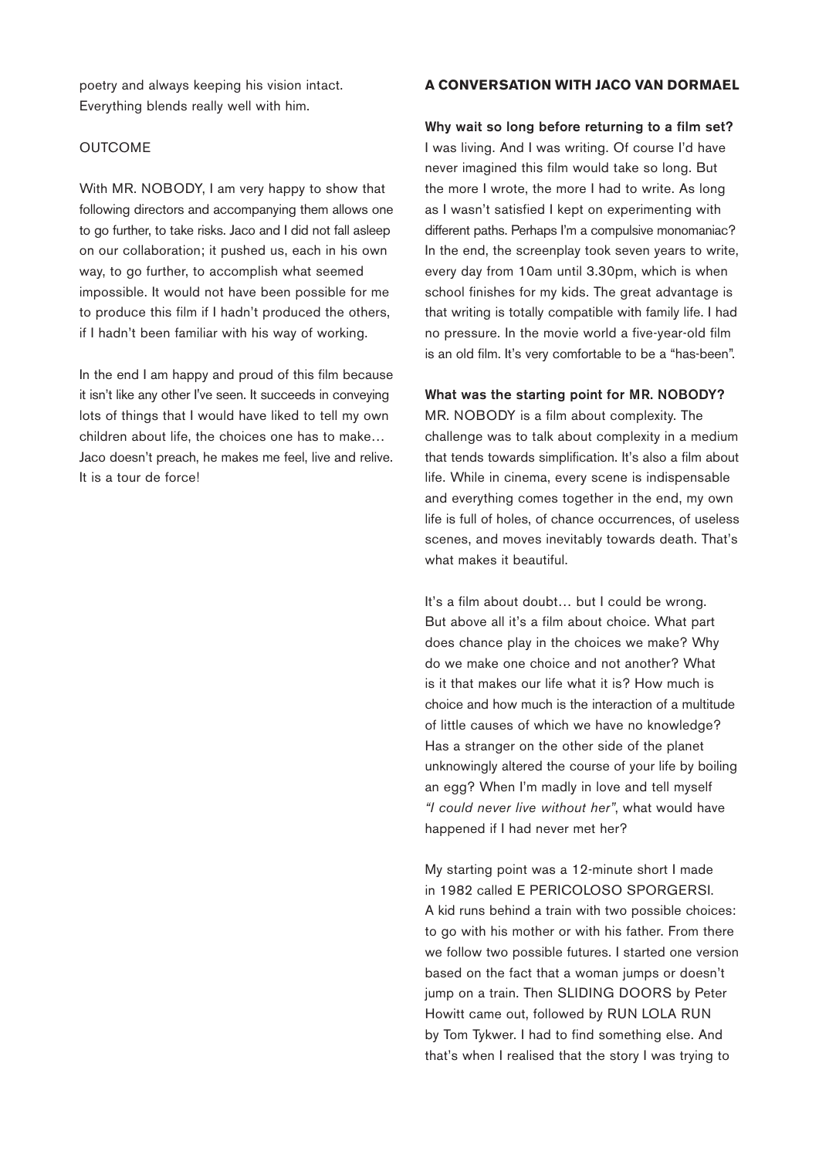poetry and always keeping his vision intact. Everything blends really well with him.

# OUTCOME

With MR. NOBODY, I am very happy to show that following directors and accompanying them allows one to go further, to take risks. Jaco and I did not fall asleep on our collaboration; it pushed us, each in his own way, to go further, to accomplish what seemed impossible. It would not have been possible for me to produce this film if I hadn't produced the others, if I hadn't been familiar with his way of working.

In the end I am happy and proud of this film because it isn't like any other I've seen. It succeeds in conveying lots of things that I would have liked to tell my own children about life, the choices one has to make… Jaco doesn't preach, he makes me feel, live and relive. It is a tour de force!

# **A CONVERSATION WITH JACO VAN DORMAEL**

**Why wait so long before returning to a film set?** I was living. And I was writing. Of course I'd have never imagined this film would take so long. But the more I wrote, the more I had to write. As long as I wasn't satisfied I kept on experimenting with different paths. Perhaps I'm a compulsive monomaniac? In the end, the screenplay took seven years to write, every day from 10am until 3.30pm, which is when school finishes for my kids. The great advantage is that writing is totally compatible with family life. I had no pressure. In the movie world a five-year-old film is an old film. It's very comfortable to be a "has-been".

#### **What was the starting point for MR. NOBODY?**

MR. NOBODY is a film about complexity. The challenge was to talk about complexity in a medium that tends towards simplification. It's also a film about life. While in cinema, every scene is indispensable and everything comes together in the end, my own life is full of holes, of chance occurrences, of useless scenes, and moves inevitably towards death. That's what makes it beautiful.

It's a film about doubt… but I could be wrong. But above all it's a film about choice. What part does chance play in the choices we make? Why do we make one choice and not another? What is it that makes our life what it is? How much is choice and how much is the interaction of a multitude of little causes of which we have no knowledge? Has a stranger on the other side of the planet unknowingly altered the course of your life by boiling an egg? When I'm madly in love and tell myself *"I could never live without her"*, what would have happened if I had never met her?

My starting point was a 12-minute short I made in 1982 called E PERICOLOSO SPORGERSI. A kid runs behind a train with two possible choices: to go with his mother or with his father. From there we follow two possible futures. I started one version based on the fact that a woman jumps or doesn't jump on a train. Then SLIDING DOORS by Peter Howitt came out, followed by RUN LOLA RUN by Tom Tykwer. I had to find something else. And that's when I realised that the story I was trying to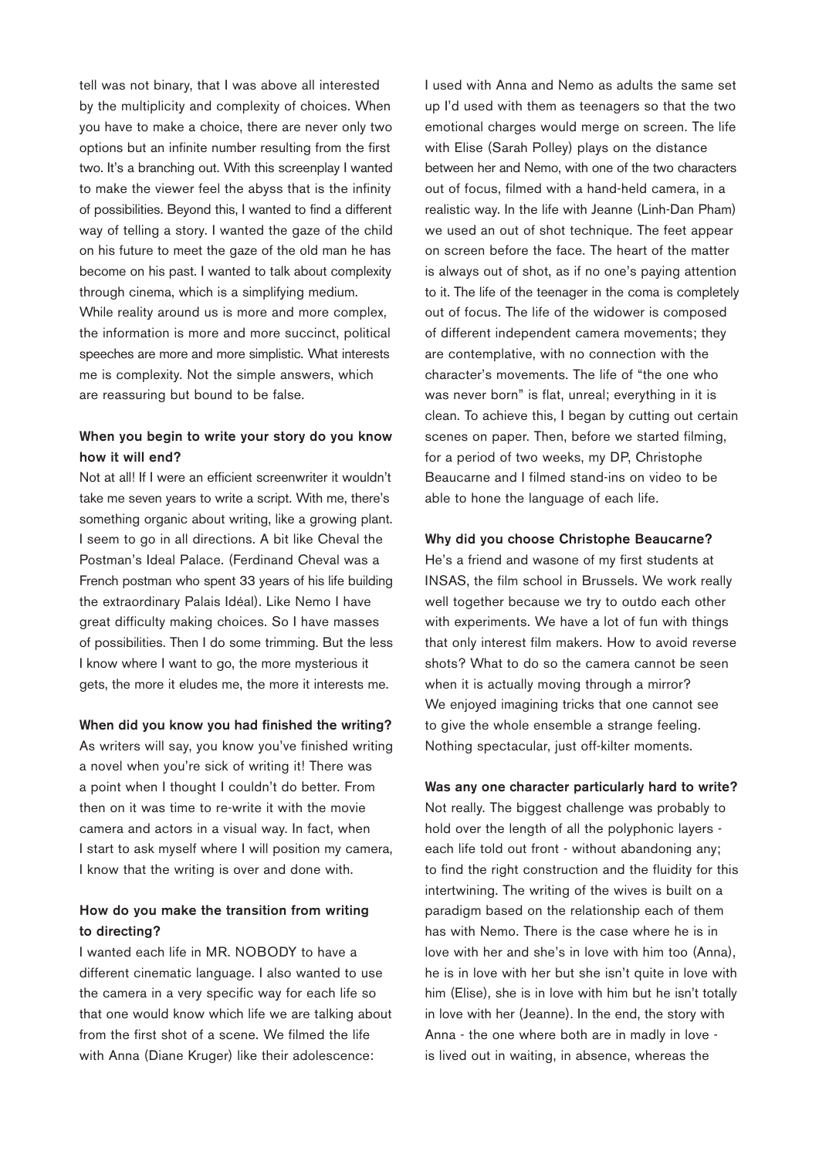tell was not binary, that I was above all interested by the multiplicity and complexity of choices. When you have to make a choice, there are never only two options but an infinite number resulting from the first two. It's a branching out. With this screenplay I wanted to make the viewer feel the abyss that is the infinity of possibilities. Beyond this, I wanted to find a different way of telling a story. I wanted the gaze of the child on his future to meet the gaze of the old man he has become on his past. I wanted to talk about complexity through cinema, which is a simplifying medium. While reality around us is more and more complex, the information is more and more succinct, political speeches are more and more simplistic. What interests me is complexity. Not the simple answers, which are reassuring but bound to be false.

# **When you begin to write your story do you know how it will end?**

Not at all! If I were an efficient screenwriter it wouldn't take me seven years to write a script. With me, there's something organic about writing, like a growing plant. I seem to go in all directions. A bit like Cheval the Postman's Ideal Palace. (Ferdinand Cheval was a French postman who spent 33 years of his life building the extraordinary Palais Idéal). Like Nemo I have great difficulty making choices. So I have masses of possibilities. Then I do some trimming. But the less I know where I want to go, the more mysterious it gets, the more it eludes me, the more it interests me.

#### **When did you know you had finished the writing?**

As writers will say, you know you've finished writing a novel when you're sick of writing it! There was a point when I thought I couldn't do better. From then on it was time to re-write it with the movie camera and actors in a visual way. In fact, when I start to ask myself where I will position my camera, I know that the writing is over and done with.

# **How do you make the transition from writing to directing?**

I wanted each life in MR. NOBODY to have a different cinematic language. I also wanted to use the camera in a very specific way for each life so that one would know which life we are talking about from the first shot of a scene. We filmed the life with Anna (Diane Kruger) like their adolescence:

I used with Anna and Nemo as adults the same set up I'd used with them as teenagers so that the two emotional charges would merge on screen. The life with Elise (Sarah Polley) plays on the distance between her and Nemo, with one of the two characters out of focus, filmed with a hand-held camera, in a realistic way. In the life with Jeanne (Linh-Dan Pham) we used an out of shot technique. The feet appear on screen before the face. The heart of the matter is always out of shot, as if no one's paying attention to it. The life of the teenager in the coma is completely out of focus. The life of the widower is composed of different independent camera movements; they are contemplative, with no connection with the character's movements. The life of "the one who was never born" is flat, unreal; everything in it is clean. To achieve this, I began by cutting out certain scenes on paper. Then, before we started filming, for a period of two weeks, my DP, Christophe Beaucarne and I filmed stand-ins on video to be able to hone the language of each life.

#### **Why did you choose Christophe Beaucarne?**

He's a friend and wasone of my first students at INSAS, the film school in Brussels. We work really well together because we try to outdo each other with experiments. We have a lot of fun with things that only interest film makers. How to avoid reverse shots? What to do so the camera cannot be seen when it is actually moving through a mirror? We enjoyed imagining tricks that one cannot see to give the whole ensemble a strange feeling. Nothing spectacular, just off-kilter moments.

#### **Was any one character particularly hard to write?**

Not really. The biggest challenge was probably to hold over the length of all the polyphonic layers each life told out front - without abandoning any; to find the right construction and the fluidity for this intertwining. The writing of the wives is built on a paradigm based on the relationship each of them has with Nemo. There is the case where he is in love with her and she's in love with him too (Anna), he is in love with her but she isn't quite in love with him (Elise), she is in love with him but he isn't totally in love with her (Jeanne). In the end, the story with Anna - the one where both are in madly in love is lived out in waiting, in absence, whereas the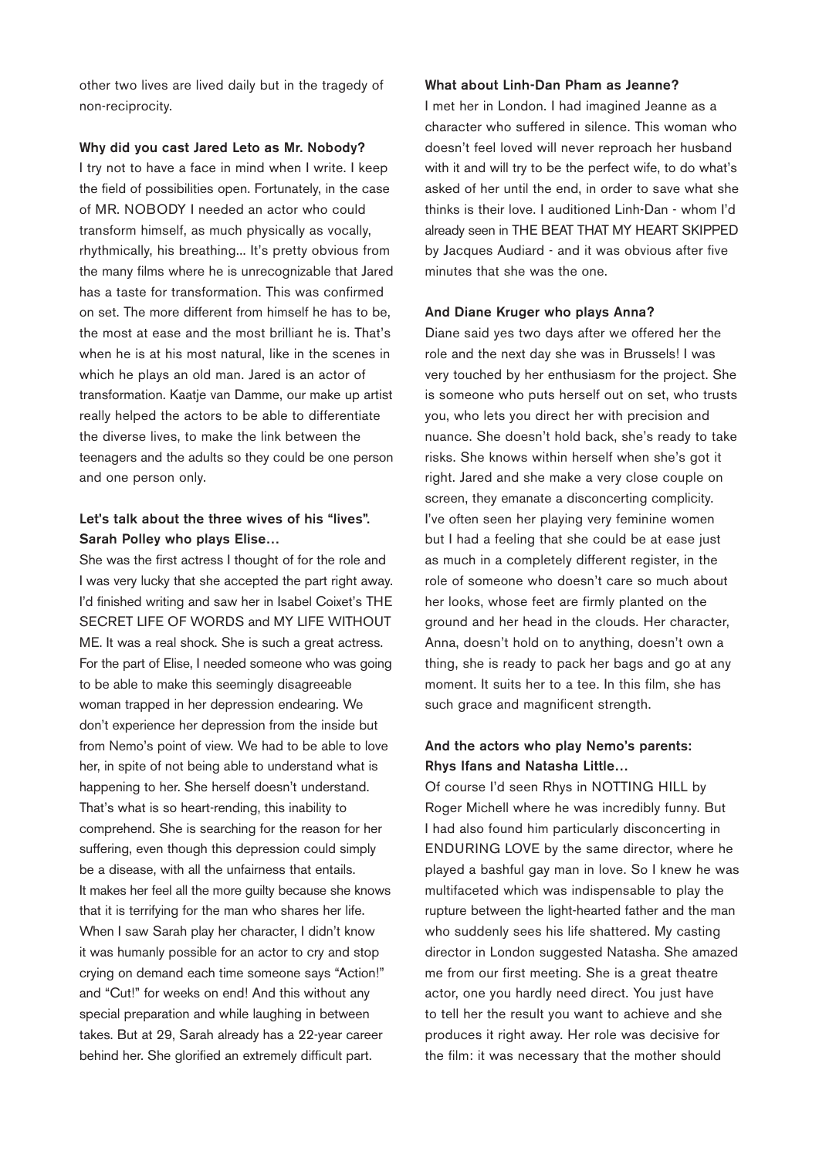other two lives are lived daily but in the tragedy of non-reciprocity.

#### **Why did you cast Jared Leto as Mr. Nobody?**

I try not to have a face in mind when I write. I keep the field of possibilities open. Fortunately, in the case of MR. NOBODY I needed an actor who could transform himself, as much physically as vocally, rhythmically, his breathing... It's pretty obvious from the many films where he is unrecognizable that Jared has a taste for transformation. This was confirmed on set. The more different from himself he has to be, the most at ease and the most brilliant he is. That's when he is at his most natural, like in the scenes in which he plays an old man. Jared is an actor of transformation. Kaatje van Damme, our make up artist really helped the actors to be able to differentiate the diverse lives, to make the link between the teenagers and the adults so they could be one person and one person only.

# **Let's talk about the three wives of his "lives". Sarah Polley who plays Elise…**

She was the first actress I thought of for the role and I was very lucky that she accepted the part right away. I'd finished writing and saw her in Isabel Coixet's THE SECRET LIFE OF WORDS and MY LIFE WITHOUT ME. It was a real shock. She is such a great actress. For the part of Elise, I needed someone who was going to be able to make this seemingly disagreeable woman trapped in her depression endearing. We don't experience her depression from the inside but from Nemo's point of view. We had to be able to love her, in spite of not being able to understand what is happening to her. She herself doesn't understand. That's what is so heart-rending, this inability to comprehend. She is searching for the reason for her suffering, even though this depression could simply be a disease, with all the unfairness that entails. It makes her feel all the more guilty because she knows that it is terrifying for the man who shares her life. When I saw Sarah play her character, I didn't know it was humanly possible for an actor to cry and stop crying on demand each time someone says "Action!" and "Cut!" for weeks on end! And this without any special preparation and while laughing in between takes. But at 29, Sarah already has a 22-year career behind her. She glorified an extremely difficult part.

# **What about Linh-Dan Pham as Jeanne?**

I met her in London. I had imagined Jeanne as a character who suffered in silence. This woman who doesn't feel loved will never reproach her husband with it and will try to be the perfect wife, to do what's asked of her until the end, in order to save what she thinks is their love. I auditioned Linh-Dan - whom I'd already seen in THE BEAT THAT MY HEART SKIPPED by Jacques Audiard - and it was obvious after five minutes that she was the one.

#### **And Diane Kruger who plays Anna?**

Diane said yes two days after we offered her the role and the next day she was in Brussels! I was very touched by her enthusiasm for the project. She is someone who puts herself out on set, who trusts you, who lets you direct her with precision and nuance. She doesn't hold back, she's ready to take risks. She knows within herself when she's got it right. Jared and she make a very close couple on screen, they emanate a disconcerting complicity. I've often seen her playing very feminine women but I had a feeling that she could be at ease just as much in a completely different register, in the role of someone who doesn't care so much about her looks, whose feet are firmly planted on the ground and her head in the clouds. Her character, Anna, doesn't hold on to anything, doesn't own a thing, she is ready to pack her bags and go at any moment. It suits her to a tee. In this film, she has such grace and magnificent strength.

# **And the actors who play Nemo's parents: Rhys Ifans and Natasha Little…**

Of course I'd seen Rhys in NOTTING HILL by Roger Michell where he was incredibly funny. But I had also found him particularly disconcerting in ENDURING LOVE by the same director, where he played a bashful gay man in love. So I knew he was multifaceted which was indispensable to play the rupture between the light-hearted father and the man who suddenly sees his life shattered. My casting director in London suggested Natasha. She amazed me from our first meeting. She is a great theatre actor, one you hardly need direct. You just have to tell her the result you want to achieve and she produces it right away. Her role was decisive for the film: it was necessary that the mother should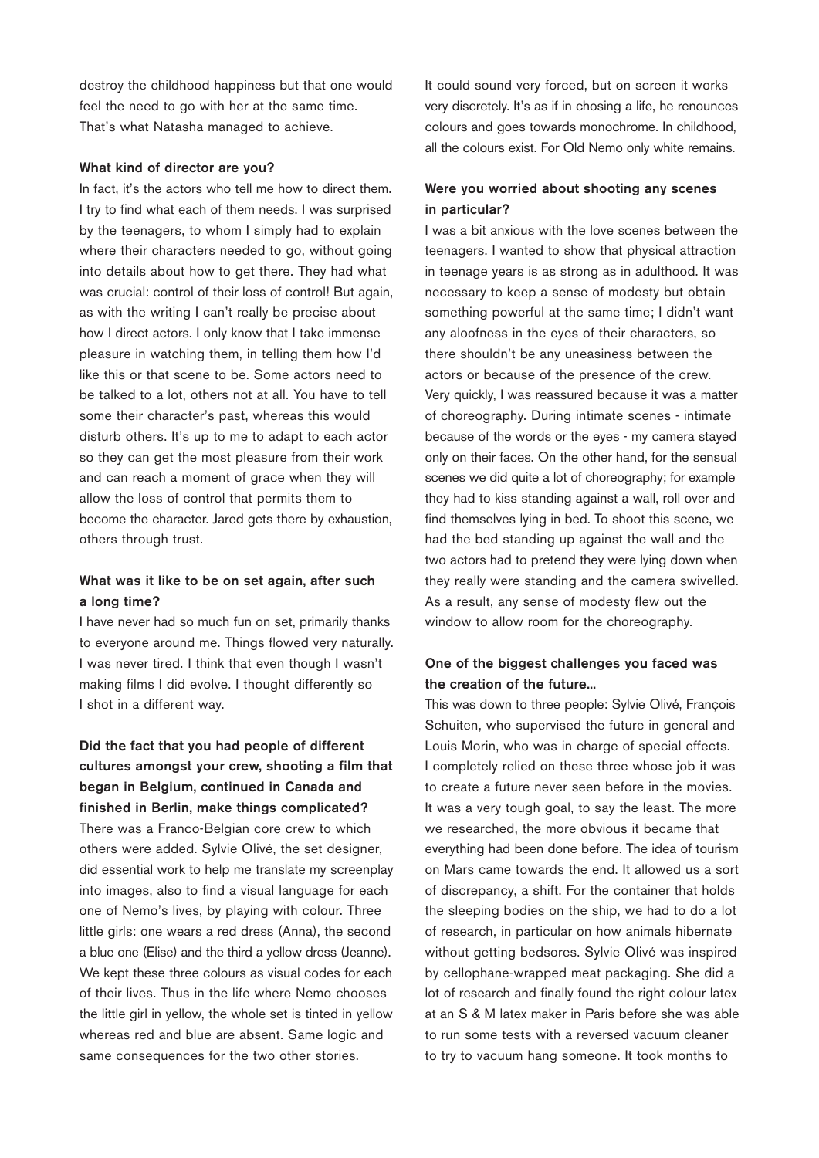destroy the childhood happiness but that one would feel the need to go with her at the same time. That's what Natasha managed to achieve.

#### **What kind of director are you?**

In fact, it's the actors who tell me how to direct them. I try to find what each of them needs. I was surprised by the teenagers, to whom I simply had to explain where their characters needed to go, without going into details about how to get there. They had what was crucial: control of their loss of control! But again, as with the writing I can't really be precise about how I direct actors. I only know that I take immense pleasure in watching them, in telling them how I'd like this or that scene to be. Some actors need to be talked to a lot, others not at all. You have to tell some their character's past, whereas this would disturb others. It's up to me to adapt to each actor so they can get the most pleasure from their work and can reach a moment of grace when they will allow the loss of control that permits them to become the character. Jared gets there by exhaustion, others through trust.

# **What was it like to be on set again, after such a long time?**

I have never had so much fun on set, primarily thanks to everyone around me. Things flowed very naturally. I was never tired. I think that even though I wasn't making films I did evolve. I thought differently so I shot in a different way.

# **Did the fact that you had people of different cultures amongst your crew, shooting a film that began in Belgium, continued in Canada and**

**finished in Berlin, make things complicated?** There was a Franco-Belgian core crew to which others were added. Sylvie Olivé, the set designer, did essential work to help me translate my screenplay into images, also to find a visual language for each one of Nemo's lives, by playing with colour. Three little girls: one wears a red dress (Anna), the second a blue one (Elise) and the third a yellow dress (Jeanne). We kept these three colours as visual codes for each of their lives. Thus in the life where Nemo chooses the little girl in yellow, the whole set is tinted in yellow whereas red and blue are absent. Same logic and same consequences for the two other stories.

It could sound very forced, but on screen it works very discretely. It's as if in chosing a life, he renounces colours and goes towards monochrome. In childhood, all the colours exist. For Old Nemo only white remains.

# **Were you worried about shooting any scenes in particular?**

I was a bit anxious with the love scenes between the teenagers. I wanted to show that physical attraction in teenage years is as strong as in adulthood. It was necessary to keep a sense of modesty but obtain something powerful at the same time; I didn't want any aloofness in the eyes of their characters, so there shouldn't be any uneasiness between the actors or because of the presence of the crew. Very quickly, I was reassured because it was a matter of choreography. During intimate scenes - intimate because of the words or the eyes - my camera stayed only on their faces. On the other hand, for the sensual scenes we did quite a lot of choreography; for example they had to kiss standing against a wall, roll over and find themselves lying in bed. To shoot this scene, we had the bed standing up against the wall and the two actors had to pretend they were lying down when they really were standing and the camera swivelled. As a result, any sense of modesty flew out the window to allow room for the choreography.

# **One of the biggest challenges you faced was the creation of the future...**

This was down to three people: Sylvie Olivé, François Schuiten, who supervised the future in general and Louis Morin, who was in charge of special effects. I completely relied on these three whose job it was to create a future never seen before in the movies. It was a very tough goal, to say the least. The more we researched, the more obvious it became that everything had been done before. The idea of tourism on Mars came towards the end. It allowed us a sort of discrepancy, a shift. For the container that holds the sleeping bodies on the ship, we had to do a lot of research, in particular on how animals hibernate without getting bedsores. Sylvie Olivé was inspired by cellophane-wrapped meat packaging. She did a lot of research and finally found the right colour latex at an S & M latex maker in Paris before she was able to run some tests with a reversed vacuum cleaner to try to vacuum hang someone. It took months to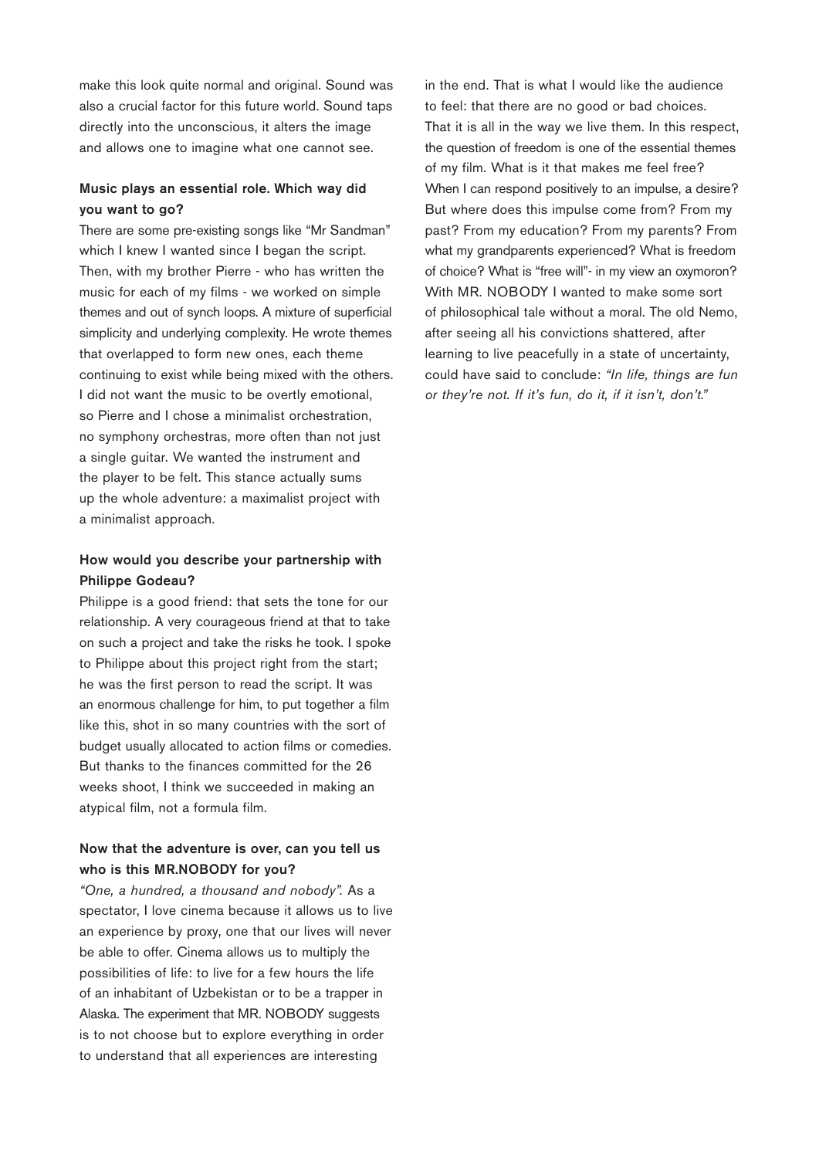make this look quite normal and original. Sound was also a crucial factor for this future world. Sound taps directly into the unconscious, it alters the image and allows one to imagine what one cannot see.

# **Music plays an essential role. Which way did you want to go?**

There are some pre-existing songs like "Mr Sandman" which I knew I wanted since I began the script. Then, with my brother Pierre - who has written the music for each of my films - we worked on simple themes and out of synch loops. A mixture of superficial simplicity and underlying complexity. He wrote themes that overlapped to form new ones, each theme continuing to exist while being mixed with the others. I did not want the music to be overtly emotional, so Pierre and I chose a minimalist orchestration, no symphony orchestras, more often than not just a single guitar. We wanted the instrument and the player to be felt. This stance actually sums up the whole adventure: a maximalist project with a minimalist approach.

# **How would you describe your partnership with Philippe Godeau?**

Philippe is a good friend: that sets the tone for our relationship. A very courageous friend at that to take on such a project and take the risks he took. I spoke to Philippe about this project right from the start; he was the first person to read the script. It was an enormous challenge for him, to put together a film like this, shot in so many countries with the sort of budget usually allocated to action films or comedies. But thanks to the finances committed for the 26 weeks shoot, I think we succeeded in making an atypical film, not a formula film.

# **Now that the adventure is over, can you tell us who is this MR.NOBODY for you?**

*"One, a hundred, a thousand and nobody".* As a spectator, I love cinema because it allows us to live an experience by proxy, one that our lives will never be able to offer. Cinema allows us to multiply the possibilities of life: to live for a few hours the life of an inhabitant of Uzbekistan or to be a trapper in Alaska. The experiment that MR. NOBODY suggests is to not choose but to explore everything in order to understand that all experiences are interesting

in the end. That is what I would like the audience to feel: that there are no good or bad choices. That it is all in the way we live them. In this respect, the question of freedom is one of the essential themes of my film. What is it that makes me feel free? When I can respond positively to an impulse, a desire? But where does this impulse come from? From my past? From my education? From my parents? From what my grandparents experienced? What is freedom of choice? What is "free will"- in my view an oxymoron? With MR. NOBODY I wanted to make some sort of philosophical tale without a moral. The old Nemo, after seeing all his convictions shattered, after learning to live peacefully in a state of uncertainty, could have said to conclude: *"In life, things are fun or they're not. If it's fun, do it, if it isn't, don't."*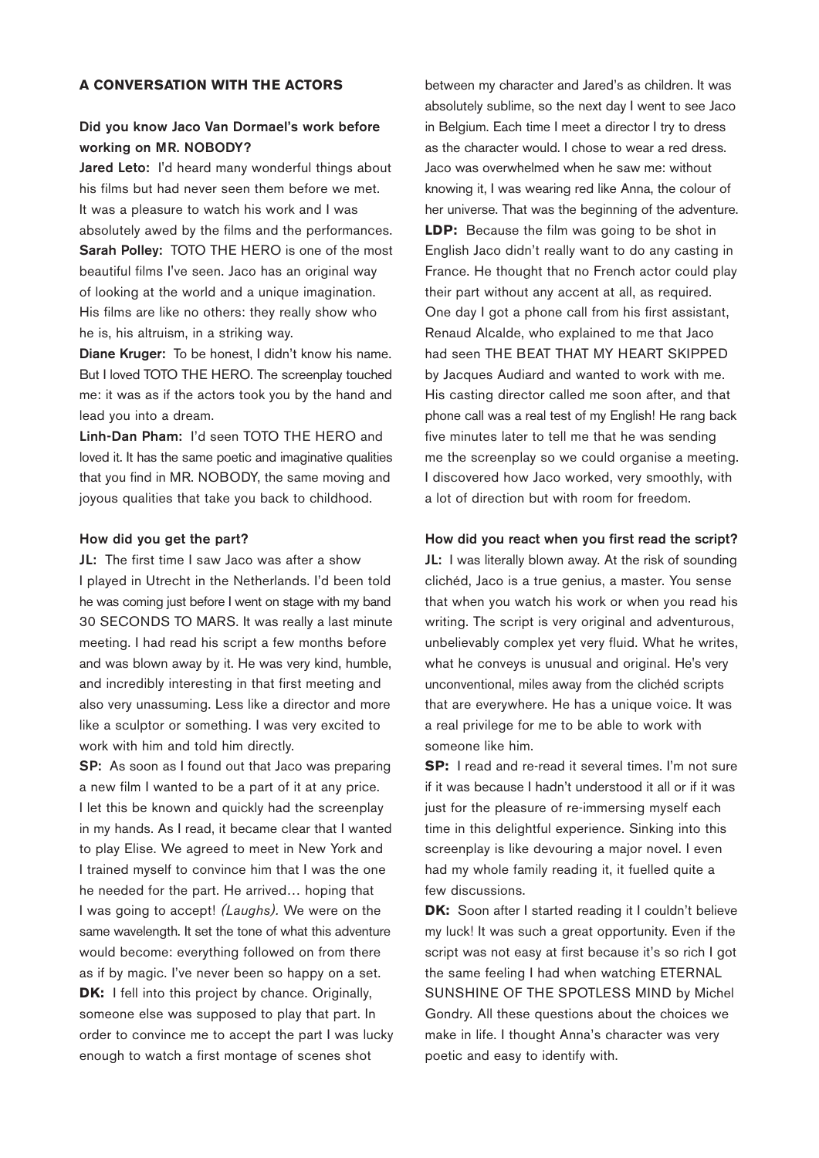# **A CONVERSATION WITH THE ACTORS**

# **Did you know Jaco Van Dormael's work before working on MR. NOBODY?**

**Jared Leto:** I'd heard many wonderful things about his films but had never seen them before we met. It was a pleasure to watch his work and I was absolutely awed by the films and the performances. **Sarah Polley:** TOTO THE HERO is one of the most beautiful films I've seen. Jaco has an original way of looking at the world and a unique imagination. His films are like no others: they really show who he is, his altruism, in a striking way.

**Diane Kruger:** To be honest, I didn't know his name. But I loved TOTO THE HERO. The screenplay touched me: it was as if the actors took you by the hand and lead you into a dream.

**Linh-Dan Pham:** I'd seen TOTO THE HERO and loved it. It has the same poetic and imaginative qualities that you find in MR. NOBODY, the same moving and joyous qualities that take you back to childhood.

#### **How did you get the part?**

**JL:** The first time I saw Jaco was after a show I played in Utrecht in the Netherlands. I'd been told he was coming just before I went on stage with my band 30 SECONDS TO MARS. It was really a last minute meeting. I had read his script a few months before and was blown away by it. He was very kind, humble, and incredibly interesting in that first meeting and also very unassuming. Less like a director and more like a sculptor or something. I was very excited to work with him and told him directly.

**SP:** As soon as I found out that Jaco was preparing a new film I wanted to be a part of it at any price. I let this be known and quickly had the screenplay in my hands. As I read, it became clear that I wanted to play Elise. We agreed to meet in New York and I trained myself to convince him that I was the one he needed for the part. He arrived… hoping that I was going to accept! *(Laughs).* We were on the same wavelength. It set the tone of what this adventure would become: everything followed on from there as if by magic. I've never been so happy on a set. **DK:** I fell into this project by chance. Originally, someone else was supposed to play that part. In order to convince me to accept the part I was lucky enough to watch a first montage of scenes shot

between my character and Jared's as children. It was absolutely sublime, so the next day I went to see Jaco in Belgium. Each time I meet a director I try to dress as the character would. I chose to wear a red dress. Jaco was overwhelmed when he saw me: without knowing it, I was wearing red like Anna, the colour of her universe. That was the beginning of the adventure. **LDP:** Because the film was going to be shot in English Jaco didn't really want to do any casting in France. He thought that no French actor could play their part without any accent at all, as required. One day I got a phone call from his first assistant, Renaud Alcalde, who explained to me that Jaco had seen THE BEAT THAT MY HEART SKIPPED by Jacques Audiard and wanted to work with me. His casting director called me soon after, and that phone call was a real test of my English! He rang back five minutes later to tell me that he was sending me the screenplay so we could organise a meeting. I discovered how Jaco worked, very smoothly, with a lot of direction but with room for freedom.

#### **How did you react when you first read the script?**

**JL:** I was literally blown away. At the risk of sounding clichéd, Jaco is a true genius, a master. You sense that when you watch his work or when you read his writing. The script is very original and adventurous, unbelievably complex yet very fluid. What he writes, what he conveys is unusual and original. He's very unconventional, miles away from the clichéd scripts that are everywhere. He has a unique voice. It was a real privilege for me to be able to work with someone like him.

**SP:** I read and re-read it several times. I'm not sure if it was because I hadn't understood it all or if it was just for the pleasure of re-immersing myself each time in this delightful experience. Sinking into this screenplay is like devouring a major novel. I even had my whole family reading it, it fuelled quite a few discussions.

**DK:** Soon after I started reading it I couldn't believe my luck! It was such a great opportunity. Even if the script was not easy at first because it's so rich I got the same feeling I had when watching ETERNAL SUNSHINE OF THE SPOTLESS MIND by Michel Gondry. All these questions about the choices we make in life. I thought Anna's character was very poetic and easy to identify with.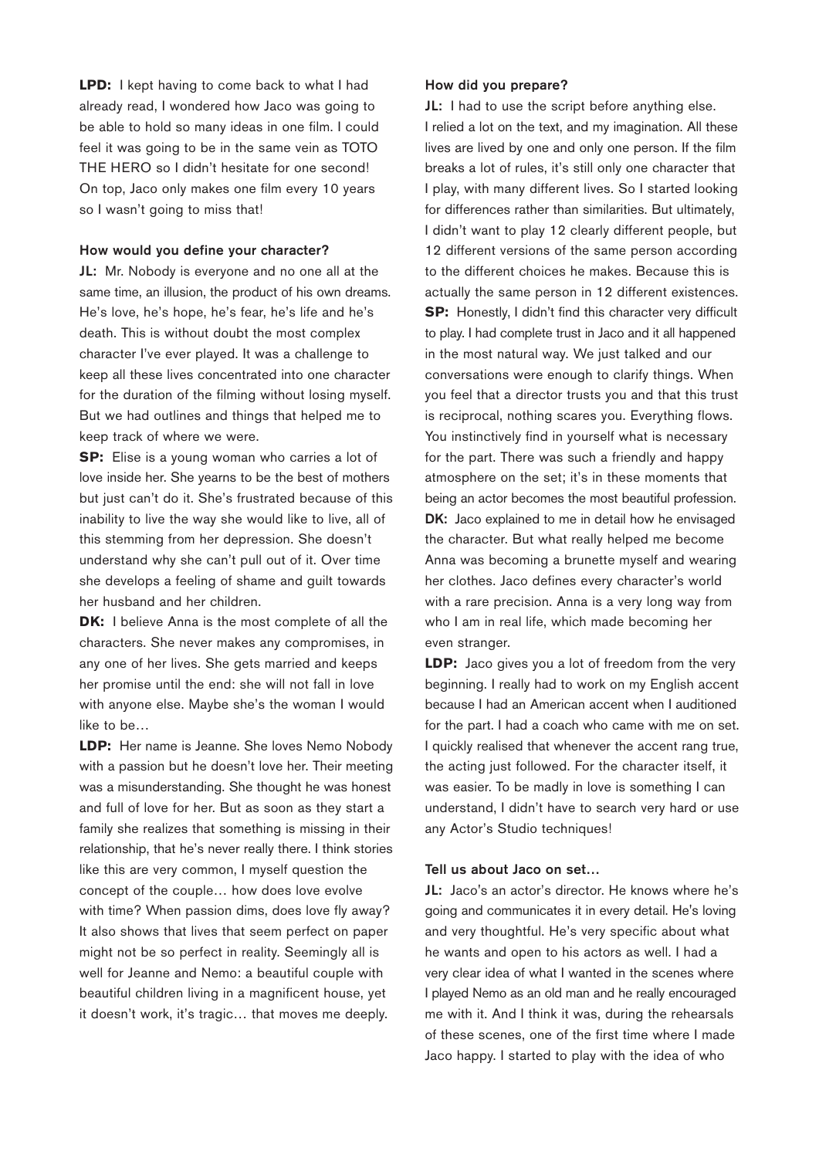**LPD:** I kept having to come back to what I had already read, I wondered how Jaco was going to be able to hold so many ideas in one film. I could feel it was going to be in the same vein as TOTO THE HERO so I didn't hesitate for one second! On top, Jaco only makes one film every 10 years so I wasn't going to miss that!

#### **How would you define your character?**

**JL:** Mr. Nobody is everyone and no one all at the same time, an illusion, the product of his own dreams. He's love, he's hope, he's fear, he's life and he's death. This is without doubt the most complex character I've ever played. It was a challenge to keep all these lives concentrated into one character for the duration of the filming without losing myself. But we had outlines and things that helped me to keep track of where we were.

**SP:** Elise is a young woman who carries a lot of love inside her. She yearns to be the best of mothers but just can't do it. She's frustrated because of this inability to live the way she would like to live, all of this stemming from her depression. She doesn't understand why she can't pull out of it. Over time she develops a feeling of shame and guilt towards her husband and her children.

**DK:** I believe Anna is the most complete of all the characters. She never makes any compromises, in any one of her lives. She gets married and keeps her promise until the end: she will not fall in love with anyone else. Maybe she's the woman I would like to be…

**LDP:** Her name is Jeanne. She loves Nemo Nobody with a passion but he doesn't love her. Their meeting was a misunderstanding. She thought he was honest and full of love for her. But as soon as they start a family she realizes that something is missing in their relationship, that he's never really there. I think stories like this are very common, I myself question the concept of the couple… how does love evolve with time? When passion dims, does love fly away? It also shows that lives that seem perfect on paper might not be so perfect in reality. Seemingly all is well for Jeanne and Nemo: a beautiful couple with beautiful children living in a magnificent house, yet it doesn't work, it's tragic… that moves me deeply.

#### **How did you prepare?**

**JL:** I had to use the script before anything else. I relied a lot on the text, and my imagination. All these lives are lived by one and only one person. If the film breaks a lot of rules, it's still only one character that I play, with many different lives. So I started looking for differences rather than similarities. But ultimately, I didn't want to play 12 clearly different people, but 12 different versions of the same person according to the different choices he makes. Because this is actually the same person in 12 different existences. **SP:** Honestly, I didn't find this character very difficult to play. I had complete trust in Jaco and it all happened in the most natural way. We just talked and our conversations were enough to clarify things. When you feel that a director trusts you and that this trust is reciprocal, nothing scares you. Everything flows. You instinctively find in yourself what is necessary for the part. There was such a friendly and happy atmosphere on the set; it's in these moments that being an actor becomes the most beautiful profession. **DK:** Jaco explained to me in detail how he envisaged the character. But what really helped me become Anna was becoming a brunette myself and wearing her clothes. Jaco defines every character's world with a rare precision. Anna is a very long way from who I am in real life, which made becoming her even stranger.

**LDP:** Jaco gives you a lot of freedom from the very beginning. I really had to work on my English accent because I had an American accent when I auditioned for the part. I had a coach who came with me on set. I quickly realised that whenever the accent rang true, the acting just followed. For the character itself, it was easier. To be madly in love is something I can understand, I didn't have to search very hard or use any Actor's Studio techniques!

#### **Tell us about Jaco on set…**

**JL:** Jaco's an actor's director. He knows where he's going and communicates it in every detail. He's loving and very thoughtful. He's very specific about what he wants and open to his actors as well. I had a very clear idea of what I wanted in the scenes where I played Nemo as an old man and he really encouraged me with it. And I think it was, during the rehearsals of these scenes, one of the first time where I made Jaco happy. I started to play with the idea of who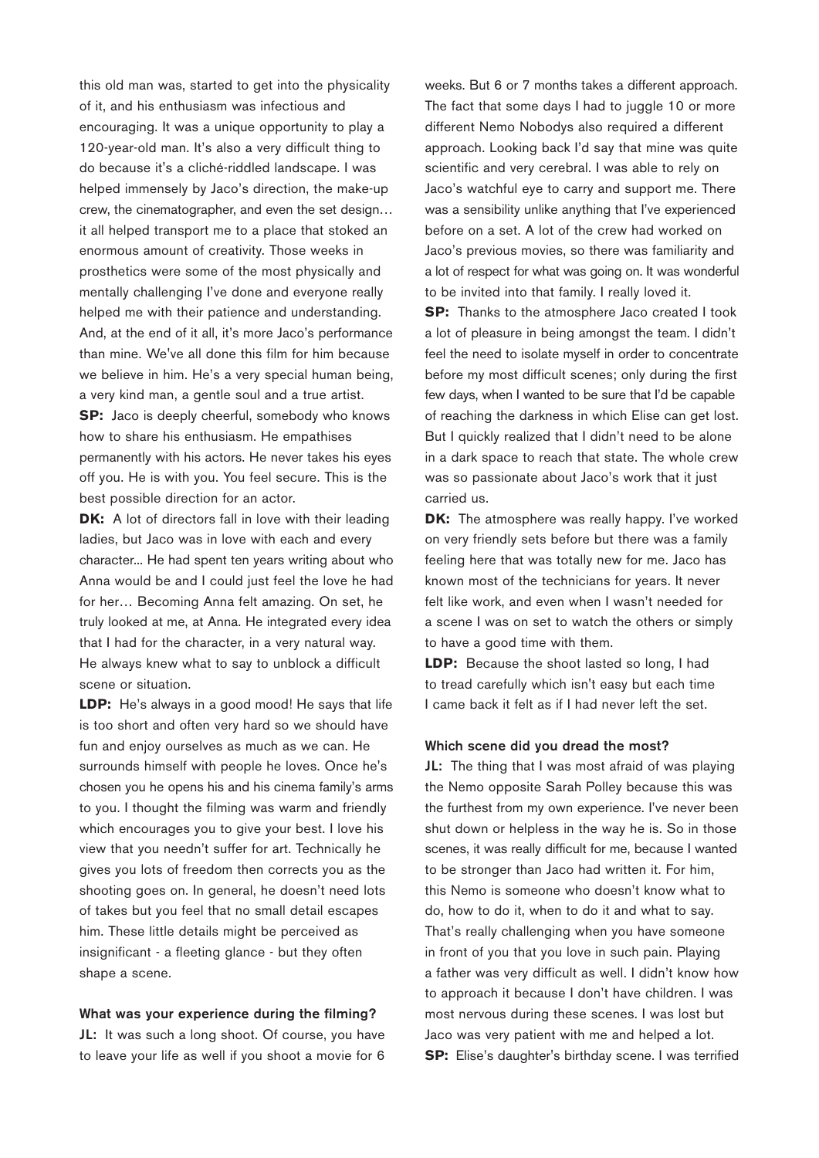this old man was, started to get into the physicality of it, and his enthusiasm was infectious and encouraging. It was a unique opportunity to play a 120-year-old man. It's also a very difficult thing to do because it's a cliché-riddled landscape. I was helped immensely by Jaco's direction, the make-up crew, the cinematographer, and even the set design… it all helped transport me to a place that stoked an enormous amount of creativity. Those weeks in prosthetics were some of the most physically and mentally challenging I've done and everyone really helped me with their patience and understanding. And, at the end of it all, it's more Jaco's performance than mine. We've all done this film for him because we believe in him. He's a very special human being, a very kind man, a gentle soul and a true artist. **SP:** Jaco is deeply cheerful, somebody who knows how to share his enthusiasm. He empathises permanently with his actors. He never takes his eyes off you. He is with you. You feel secure. This is the best possible direction for an actor.

**DK:** A lot of directors fall in love with their leading ladies, but Jaco was in love with each and every character... He had spent ten years writing about who Anna would be and I could just feel the love he had for her… Becoming Anna felt amazing. On set, he truly looked at me, at Anna. He integrated every idea that I had for the character, in a very natural way. He always knew what to say to unblock a difficult scene or situation.

**LDP:** He's always in a good mood! He says that life is too short and often very hard so we should have fun and enjoy ourselves as much as we can. He surrounds himself with people he loves. Once he's chosen you he opens his and his cinema family's arms to you. I thought the filming was warm and friendly which encourages you to give your best. I love his view that you needn't suffer for art. Technically he gives you lots of freedom then corrects you as the shooting goes on. In general, he doesn't need lots of takes but you feel that no small detail escapes him. These little details might be perceived as insignificant - a fleeting glance - but they often shape a scene.

**What was your experience during the filming? JL:** It was such a long shoot. Of course, you have to leave your life as well if you shoot a movie for 6

weeks. But 6 or 7 months takes a different approach. The fact that some days I had to juggle 10 or more different Nemo Nobodys also required a different approach. Looking back I'd say that mine was quite scientific and very cerebral. I was able to rely on Jaco's watchful eye to carry and support me. There was a sensibility unlike anything that I've experienced before on a set. A lot of the crew had worked on Jaco's previous movies, so there was familiarity and a lot of respect for what was going on. It was wonderful to be invited into that family. I really loved it.

**SP:** Thanks to the atmosphere Jaco created I took a lot of pleasure in being amongst the team. I didn't feel the need to isolate myself in order to concentrate before my most difficult scenes; only during the first few days, when I wanted to be sure that I'd be capable of reaching the darkness in which Elise can get lost. But I quickly realized that I didn't need to be alone in a dark space to reach that state. The whole crew was so passionate about Jaco's work that it just carried us.

**DK:** The atmosphere was really happy. I've worked on very friendly sets before but there was a family feeling here that was totally new for me. Jaco has known most of the technicians for years. It never felt like work, and even when I wasn't needed for a scene I was on set to watch the others or simply to have a good time with them.

**LDP:** Because the shoot lasted so long, I had to tread carefully which isn't easy but each time I came back it felt as if I had never left the set.

## **Which scene did you dread the most?**

**JL:** The thing that I was most afraid of was playing the Nemo opposite Sarah Polley because this was the furthest from my own experience. I've never been shut down or helpless in the way he is. So in those scenes, it was really difficult for me, because I wanted to be stronger than Jaco had written it. For him, this Nemo is someone who doesn't know what to do, how to do it, when to do it and what to say. That's really challenging when you have someone in front of you that you love in such pain. Playing a father was very difficult as well. I didn't know how to approach it because I don't have children. I was most nervous during these scenes. I was lost but Jaco was very patient with me and helped a lot. **SP:** Elise's daughter's birthday scene. I was terrified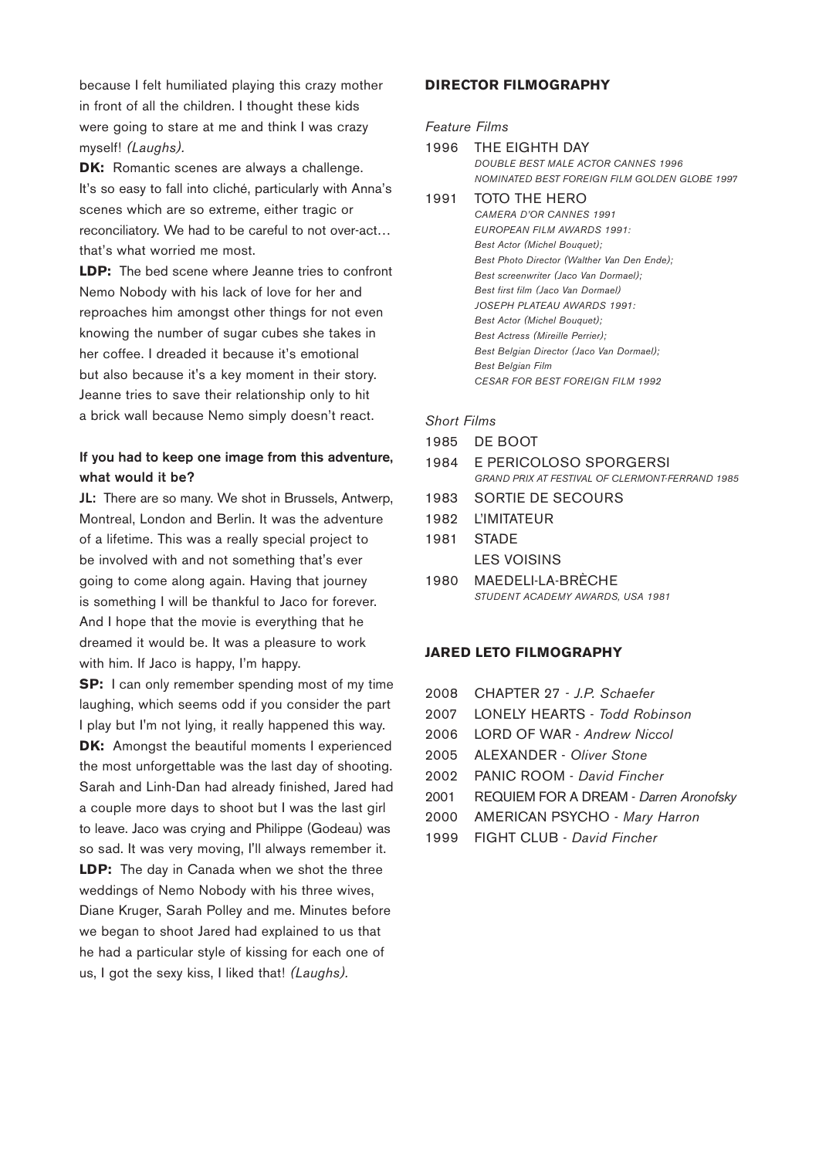because I felt humiliated playing this crazy mother in front of all the children. I thought these kids were going to stare at me and think I was crazy myself! *(Laughs).*

**DK:** Romantic scenes are always a challenge. It's so easy to fall into cliché, particularly with Anna's scenes which are so extreme, either tragic or reconciliatory. We had to be careful to not over-act… that's what worried me most.

**LDP:** The bed scene where Jeanne tries to confront Nemo Nobody with his lack of love for her and reproaches him amongst other things for not even knowing the number of sugar cubes she takes in her coffee. I dreaded it because it's emotional but also because it's a key moment in their story. Jeanne tries to save their relationship only to hit a brick wall because Nemo simply doesn't react.

# **If you had to keep one image from this adventure, what would it be?**

**JL:** There are so many. We shot in Brussels, Antwerp, Montreal, London and Berlin. It was the adventure of a lifetime. This was a really special project to be involved with and not something that's ever going to come along again. Having that journey is something I will be thankful to Jaco for forever. And I hope that the movie is everything that he dreamed it would be. It was a pleasure to work with him. If Jaco is happy, I'm happy.

**SP:** I can only remember spending most of my time laughing, which seems odd if you consider the part I play but I'm not lying, it really happened this way.

**DK:** Amongst the beautiful moments I experienced the most unforgettable was the last day of shooting. Sarah and Linh-Dan had already finished, Jared had a couple more days to shoot but I was the last girl to leave. Jaco was crying and Philippe (Godeau) was so sad. It was very moving, I'll always remember it. **LDP:** The day in Canada when we shot the three weddings of Nemo Nobody with his three wives, Diane Kruger, Sarah Polley and me. Minutes before we began to shoot Jared had explained to us that he had a particular style of kissing for each one of us, I got the sexy kiss, I liked that! *(Laughs).*

# **DIRECTOR FILMOGRAPHY**

#### *Feature Films*

| <u>Calure Fillio</u> |                                                      |
|----------------------|------------------------------------------------------|
|                      | 1996 THE EIGHTH DAY                                  |
|                      | DOUBLE BEST MALE ACTOR CANNES 1996                   |
|                      | <b>NOMINATED BEST FOREIGN FILM GOLDEN GLOBE 1997</b> |
| 1991                 | TOTO THE HERO                                        |
|                      | CAMERA D'OR CANNES 1991                              |
|                      | EUROPEAN FILM AWARDS 1991:                           |
|                      | Best Actor (Michel Bouquet);                         |
|                      | Best Photo Director (Walther Van Den Ende):          |
|                      | Best screenwriter (Jaco Van Dormael);                |
|                      | Best first film (Jaco Van Dormael)                   |
|                      | JOSEPH PLATEAU AWARDS 1991:                          |
|                      | Best Actor (Michel Bouquet);                         |
|                      | Best Actress (Mireille Perrier):                     |
|                      | Best Belgian Director (Jaco Van Dormael);            |
|                      | Best Belgian Film                                    |

*CESAR FOR BEST FOREIGN FILM 1992*

#### *Short Films*

1985 DE BOOT 1984 E PERICOLOSO SPORGERSI *GRAND PRIX AT FESTIVAL OF CLERMONT-FERRAND 1985* 1983 SORTIE DE SECOURS 1982 L'IMITATEUR 1981 STADE LES VOISINS 1980 MAEDELI-LA-BRÈCHE *STUDENT ACADEMY AWARDS, USA 1981*

#### **JARED LETO FILMOGRAPHY**

- 2008 CHAPTER 27  *J.P. Schaefer*
- 2007 LONELY HEARTS *Todd Robinson*
- 2006 LORD OF WAR *Andrew Niccol*
- 2005 ALEXANDER *Oliver Stone*
- 2002 PANIC ROOM *David Fincher*
- 2001 REQUIEM FOR A DREAM *Darren Aronofsky*
- 2000 AMERICAN PSYCHO *Mary Harron*
- 1999 FIGHT CLUB *David Fincher*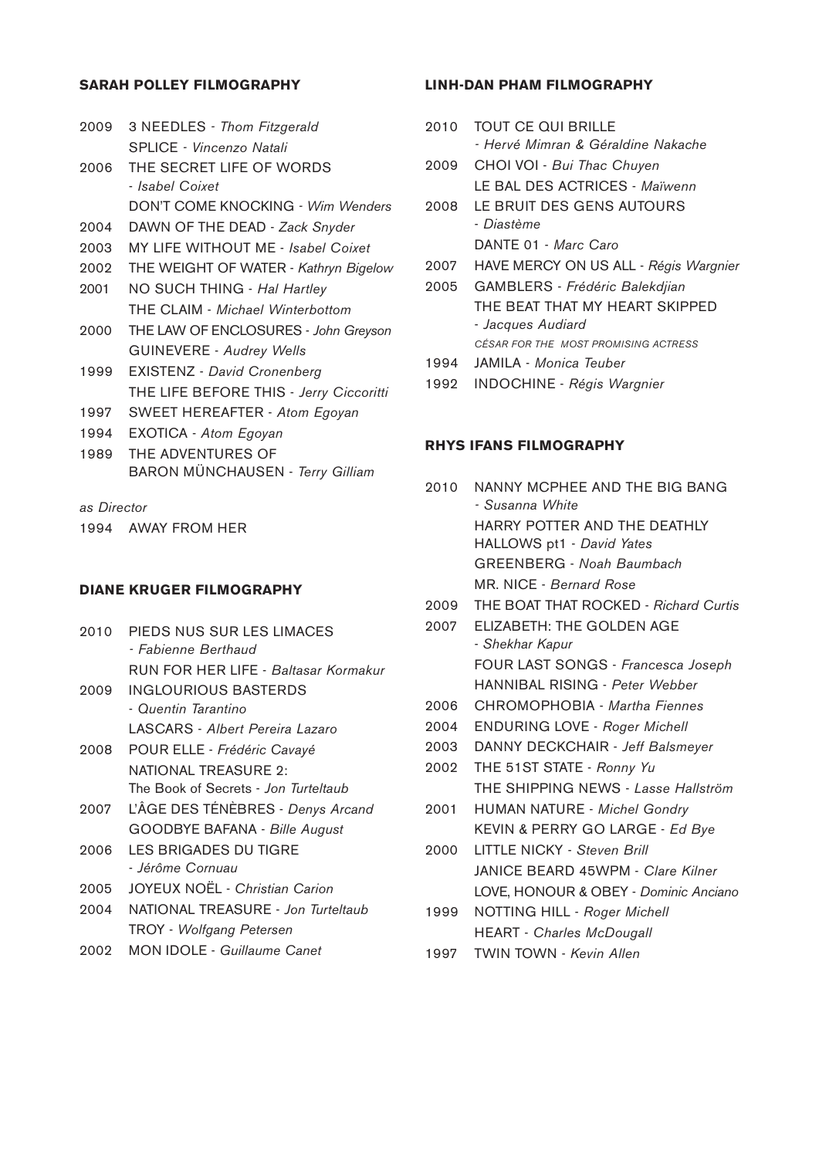# **SARAH POLLEY FILMOGRAPHY**

| 2009 | 3 NEEDLES - Thom Fitzgerald             |
|------|-----------------------------------------|
|      | SPLICE - Vincenzo Natali                |
| 2006 | THE SECRET LIFE OF WORDS                |
|      | - Isabel Coixet                         |
|      | DON'T COME KNOCKING - Wim Wenders       |
| 2004 | DAWN OF THE DEAD - Zack Snyder          |
| 2003 | MY LIFE WITHOUT ME - Isabel Coixet      |
| 2002 | THE WEIGHT OF WATER - Kathryn Bigelow   |
| 2001 | NO SUCH THING - Hal Hartley             |
|      | THE CLAIM - Michael Winterbottom        |
| 2000 | THE LAW OF ENCLOSURES - John Greyson    |
|      | <b>GUINEVERE - Audrey Wells</b>         |
| 1999 | <b>EXISTENZ</b> - David Cronenberg      |
|      | THE LIFE BEFORE THIS - Jerry Ciccoritti |
| 1997 | <b>SWEET HEREAFTER - Atom Egoyan</b>    |
| 1994 | EXOTICA - Atom Egoyan                   |
| 1989 | THE ADVENTURES OF                       |
|      |                                         |

BARON MÜNCHAUSEN - *Terry Gilliam*

*as Director*

1994 AWAY FROM HER

# **DIANE KRUGER FILMOGRAPHY**

| 2010 | PIEDS NUS SUR LES LIMACES<br>- Fabienne Berthaud |
|------|--------------------------------------------------|
|      |                                                  |
|      | RUN FOR HER LIFE - Baltasar Kormakur             |
| 2009 | INGLOURIOUS BASTERDS                             |
|      | - Quentin Tarantino                              |
|      | LASCARS - Albert Pereira Lazaro                  |
| 2008 | POUR ELLE - Frédéric Cavayé                      |
|      | NATIONAL TREASURE 2:                             |
|      | The Book of Secrets - Jon Turteltaub             |
| 2007 | L'ÂGE DES TÉNÈBRES - Denys Arcand                |
|      | <b>GOODBYE BAFANA - Bille August</b>             |
| 2006 | <b>LES BRIGADES DU TIGRE</b>                     |
|      | - Jérôme Cornuau                                 |
| 2005 | JOYEUX NOËL - Christian Carion                   |
| 2004 | NATIONAL TREASURE - Jon Turteltaub               |
|      | $\sim$ $\sim$<br>,,,,,,                          |

- TROY *Wolfgang Petersen*
- 2002 MON IDOLE *Guillaume Canet*

# **LINH-DAN PHAM FILMOGRAPHY**

- 2010 TOUT CE QUI BRILLE *- Hervé Mimran & Géraldine Nakache*
- 2009 CHOI VOI *Bui Thac Chuyen* LE BAL DES ACTRICES - *Maïwenn*
- 2008 LE BRUIT DES GENS AUTOURS - *Diastème* DANTE 01 - *Marc Caro*
- 2007 HAVE MERCY ON US ALL *Régis Wargnier*
- 2005 GAMBLERS *Frédéric Balekdjian* THE BEAT THAT MY HEART SKIPPED - *Jacques Audiard CÉSAR FOR THE MOST PROMISING ACTRESS*
- 1994 JAMILA *Monica Teuber*
- 1992 INDOCHINE *Régis Wargnier*

# **RHYS IFANS FILMOGRAPHY**

| 2010 | NANNY MCPHEE AND THE BIG BANG<br>- Susanna White |
|------|--------------------------------------------------|
|      | HARRY POTTER AND THE DEATHLY                     |
|      | HALLOWS pt1 - David Yates                        |
|      | <b>GREENBERG</b> - Noah Baumbach                 |
|      | MR. NICE - Bernard Rose                          |
| 2009 | <b>THE BOAT THAT ROCKED - Richard Curtis</b>     |
| 2007 | ELIZABETH: THE GOLDEN AGE                        |
|      | - Shekhar Kapur                                  |
|      | FOUR LAST SONGS - Francesca Joseph               |
|      | HANNIBAL RISING - Peter Webber                   |
| 2006 | CHROMOPHOBIA - Martha Fiennes                    |
| 2004 | <b>ENDURING LOVE - Roger Michell</b>             |
| 2003 | DANNY DECKCHAIR - Jeff Balsmeyer                 |
| 2002 | THE 51ST STATE - Ronny Yu                        |
|      | THE SHIPPING NEWS - Lasse Hallström              |
| 2001 | <b>HUMAN NATURE - Michel Gondry</b>              |
|      | KEVIN & PERRY GO LARGE - Ed Bye                  |
| 2000 | LITTLE NICKY - Steven Brill                      |
|      | <b>JANICE BEARD 45WPM - Clare Kilner</b>         |

- LOVE, HONOUR & OBEY *Dominic Anciano*
- 1999 NOTTING HILL *Roger Michell* HEART - *Charles McDougall*
- 1997 TWIN TOWN *Kevin Allen*